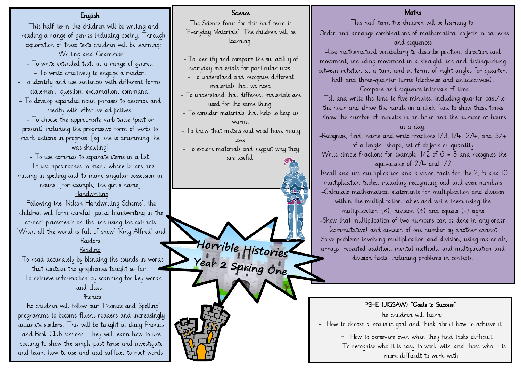### English

This half term the children will be writing and reading a range of genres including poetry. Through exploration of these texts children will be learning: Writing and Grammar

- To write extended texts in a range of genres. - To write creatively to engage a reader.
- To identify and use sentences with different forms: statement, question, exclamation, command.
- To develop expanded noun phrases to describe and specify with effective ad jectives.

- To choose the appropriate verb tense (past or present) including the progressive form of verbs to mark actions in progress [eg: she is drumming, he was shouting]

- To use commas to separate items in a list. - To use apostrophes to mark where letters are missing in spelling and to mark singular possession in nouns [for example, the girl's name]

### Handwriting

Following the 'Nelson Handwriting Scheme', the children will form careful joined handwriting in the correct placements on the line using the extracts: 'When all the world is full of snow' 'King Alfred' and 'Raiders'.

### Reading

- To read accurately by blending the sounds in words that contain the graphemes taught so far.
- To retrieve information by scanning for key words and clues.

#### Phonics

The children will follow our 'Phonics and Spelling' programme to become fluent readers and increasingly accurate spellers. This will be taught in daily Phonics and Book Club sessions. They will learn how to use spelling to show the simple past tense and investigate and learn how to use and add suffixes to root words.

#### Science

The Science focus for this half term is 'Everyday Materials'. The children will be learning:

- To identify and compare the suitability of everyday materials for particular uses.
- To understand and recognise different materials that we need
- To understand that different materials are used for the same thing.
- To consider materials that help to keep us warm.
- To know that metals and wood have many uses.
- To explore materials and suggest why they are useful.

Horrible Histories

#### **Maths**

This half term the children will be learning to: -Order and arrange combinations of mathematical objects in patterns and sequences -Use mathematical vocabulary to describe position, direction and movement, including movement in a straight line and distinguishing between rotation as a turn and in terms of right angles for quarter, half and three-quarter turns (clockwise and anticlockwise). -Compare and sequence intervals of time -Tell and write the time to five minutes, including quarter past/to the hour and draw the hands on a clock face to show these times -Know the number of minutes in an hour and the number of hours in a day. -Recognise, find, name and write fractions 1/3, 1/4, 2/4, and 3/4 of a length, shape, set of objects or quantity

-Write simple fractions for example, 1/2 of 6 = 3 and recognise the equivalence of 2/4 and 1/2

-Recall and use multiplication and division facts for the 2, 5 and 10 multiplication tables, including recognising odd and even numbers -Calculate mathematical statements for multiplication and division within the multiplication tables and write them using the

multiplication  $(x)$ , division  $(\div)$  and equals  $(=)$  signs -Show that multiplication of two numbers can be done in any order (commutative) and division of one number by another cannot -Solve problems involving multiplication and division, using materials, arrays, repeated addition, mental methods, and multiplication and division facts, including problems in contexts.

#### PSHE (JIGSAW) "Goals to Success"

The children will learn:

- How to choose a realistic goal and think about how to achieve it

- How to persevere even when they find tasks difficult

- To recognise who it is easy to work with and those who it is more difficult to work with